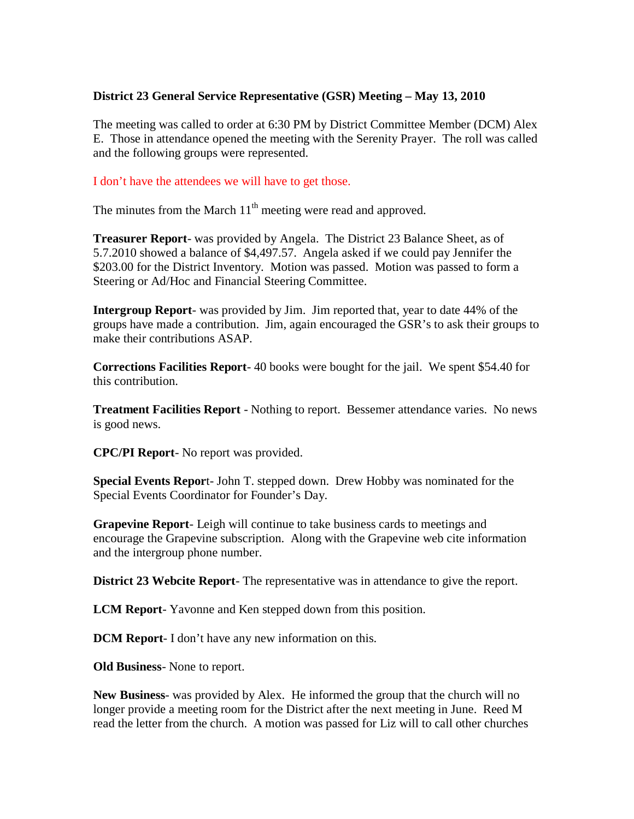## **District 23 General Service Representative (GSR) Meeting – May 13, 2010**

The meeting was called to order at 6:30 PM by District Committee Member (DCM) Alex E. Those in attendance opened the meeting with the Serenity Prayer. The roll was called and the following groups were represented.

## I don't have the attendees we will have to get those.

The minutes from the March  $11<sup>th</sup>$  meeting were read and approved.

**Treasurer Report**- was provided by Angela. The District 23 Balance Sheet, as of 5.7.2010 showed a balance of \$4,497.57. Angela asked if we could pay Jennifer the \$203.00 for the District Inventory. Motion was passed. Motion was passed to form a Steering or Ad/Hoc and Financial Steering Committee.

**Intergroup Report**- was provided by Jim. Jim reported that, year to date 44% of the groups have made a contribution. Jim, again encouraged the GSR's to ask their groups to make their contributions ASAP.

**Corrections Facilities Report**- 40 books were bought for the jail. We spent \$54.40 for this contribution.

**Treatment Facilities Report** - Nothing to report. Bessemer attendance varies. No news is good news.

**CPC/PI Report**- No report was provided.

**Special Events Repor**t- John T. stepped down. Drew Hobby was nominated for the Special Events Coordinator for Founder's Day.

**Grapevine Report**- Leigh will continue to take business cards to meetings and encourage the Grapevine subscription. Along with the Grapevine web cite information and the intergroup phone number.

**District 23 Webcite Report**- The representative was in attendance to give the report.

**LCM Report**- Yavonne and Ken stepped down from this position.

**DCM Report**- I don't have any new information on this.

**Old Business**- None to report.

**New Business**- was provided by Alex. He informed the group that the church will no longer provide a meeting room for the District after the next meeting in June. Reed M read the letter from the church. A motion was passed for Liz will to call other churches